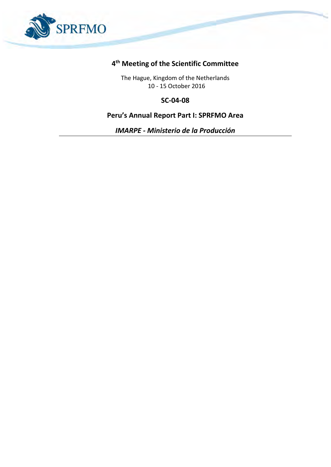

## **4 th Meeting of the Scientific Committee**

The Hague, Kingdom of the Netherlands 10 - 15 October 2016

**SC-04-08**

## **Peru's Annual Report Part I: SPRFMO Area**

*IMARPE - Ministerio de la Producción*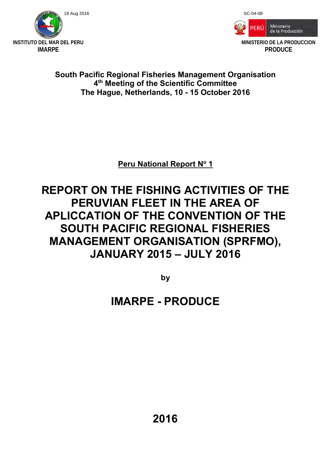



# **South Pacific Regional Fisheries Management Organisation 4 th Meeting of the Scientific Committee The Hague, Netherlands, 10 - 15 October 2016**

**Peru National Report N<sup>o</sup> 1** 

# **REPORT ON THE FISHING ACTIVITIES OF THE PERUVIAN FLEET IN THE AREA OF APLICCATION OF THE CONVENTION OF THE SOUTH PACIFIC REGIONAL FISHERIES MANAGEMENT ORGANISATION (SPRFMO), JANUARY 2015 – JULY 2016**

**by** 

# **IMARPE - PRODUCE**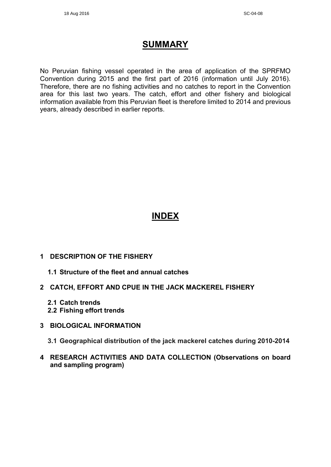# **SUMMARY**

No Peruvian fishing vessel operated in the area of application of the SPRFMO Convention during 2015 and the first part of 2016 (information until July 2016). Therefore, there are no fishing activities and no catches to report in the Convention area for this last two years. The catch, effort and other fishery and biological information available from this Peruvian fleet is therefore limited to 2014 and previous years, already described in earlier reports.

# **INDEX**

- **1 DESCRIPTION OF THE FISHERY** 
	- **1.1 Structure of the fleet and annual catches**
- **2 CATCH, EFFORT AND CPUE IN THE JACK MACKEREL FISHERY** 
	- **2.1 Catch trends**
	- **2.2 Fishing effort trends**
- **3 BIOLOGICAL INFORMATION**
	- **3.1 Geographical distribution of the jack mackerel catches during 2010-2014**
- **4 RESEARCH ACTIVITIES AND DATA COLLECTION (Observations on board and sampling program)**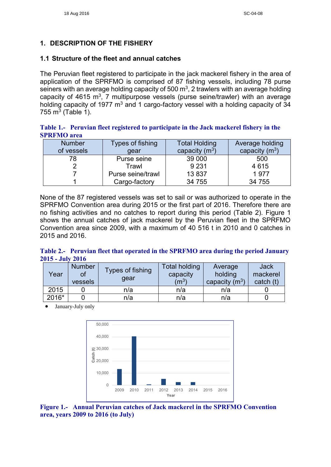### **1. DESCRIPTION OF THE FISHERY**

#### **1.1 Structure of the fleet and annual catches**

The Peruvian fleet registered to participate in the jack mackerel fishery in the area of application of the SPRFMO is comprised of 87 fishing vessels, including 78 purse seiners with an average holding capacity of 500 m<sup>3</sup>, 2 trawlers with an average holding capacity of 4615 m<sup>3</sup>, 7 multipurpose vessels (purse seine/trawler) with an average holding capacity of 1977  $m<sup>3</sup>$  and 1 cargo-factory vessel with a holding capacity of 34 755 m $^3$  (Table 1).

**Table 1.- Peruvian fleet registered to participate in the Jack mackerel fishery in the SPRFMO area** 

| <b>Number</b> | Types of fishing  | <b>Total Holding</b> | Average holding  |
|---------------|-------------------|----------------------|------------------|
| of vessels    | qear              | capacity $(m^3)$     | capacity $(m^3)$ |
| 78            | Purse seine       | 39 000               | 500              |
|               | Trawl             | 9 2 3 1              | 4615             |
|               | Purse seine/trawl | 13837                | 1977             |
|               | Cargo-factory     | 34 755               | 34 755           |

None of the 87 registered vessels was set to sail or was authorized to operate in the SPRFMO Convention area during 2015 or the first part of 2016. Therefore there are no fishing activities and no catches to report during this period (Table 2). Figure 1 shows the annual catches of jack mackerel by the Peruvian fleet in the SPRFMO Convention area since 2009, with a maximum of 40 516 t in 2010 and 0 catches in 2015 and 2016.

**Table 2.- Peruvian fleet that operated in the SPRFMO area during the period January 2015 - July 2016**

| Year  | <b>Number</b><br>Οl<br>vessels | Types of fishing<br>gear | <b>Total holding</b><br>capacity<br>$(\mathsf{m}^3)$ | Average<br>holding<br>capacity $(m^3)$ | <b>Jack</b><br>mackerel<br>catch (t) |
|-------|--------------------------------|--------------------------|------------------------------------------------------|----------------------------------------|--------------------------------------|
| 2015  |                                | n/a                      | n/a                                                  | n/a                                    |                                      |
| 2016* |                                | n/a                      | n/a                                                  | n/a                                    |                                      |

January-July only



**Figure 1.- Annual Peruvian catches of Jack mackerel in the SPRFMO Convention area, years 2009 to 2016 (to July)**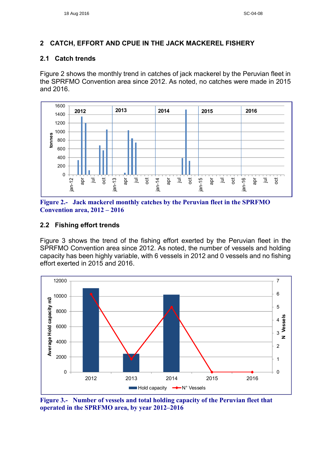#### **2 CATCH, EFFORT AND CPUE IN THE JACK MACKEREL FISHERY**

#### **2.1 Catch trends**

Figure 2 shows the monthly trend in catches of jack mackerel by the Peruvian fleet in the SPRFMO Convention area since 2012. As noted, no catches were made in 2015 and 2016.



**Figure 2.- Jack mackerel monthly catches by the Peruvian fleet in the SPRFMO Convention area, 2012 – 2016**

#### **2.2 Fishing effort trends**

Figure 3 shows the trend of the fishing effort exerted by the Peruvian fleet in the SPRFMO Convention area since 2012. As noted, the number of vessels and holding capacity has been highly variable, with 6 vessels in 2012 and 0 vessels and no fishing effort exerted in 2015 and 2016.



**Figure 3.- Number of vessels and total holding capacity of the Peruvian fleet that operated in the SPRFMO area, by year 2012–2016**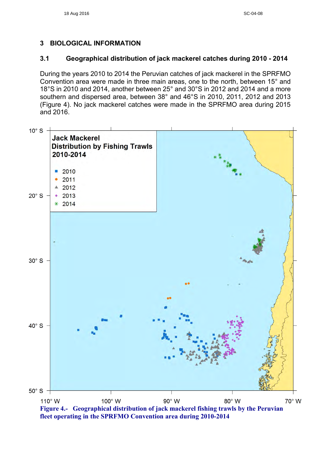### **3 BIOLOGICAL INFORMATION**

#### **3.1 Geographical distribution of jack mackerel catches during 2010 - 2014**

During the years 2010 to 2014 the Peruvian catches of jack mackerel in the SPRFMO Convention area were made in three main areas, one to the north, between 15° and 18°S in 2010 and 2014, another between 25° and 30°S in 2012 and 2014 and a more southern and dispersed area, between 38° and 46°S in 2010, 2011, 2012 and 2013 (Figure 4). No jack mackerel catches were made in the SPRFMO area during 2015 and 2016.